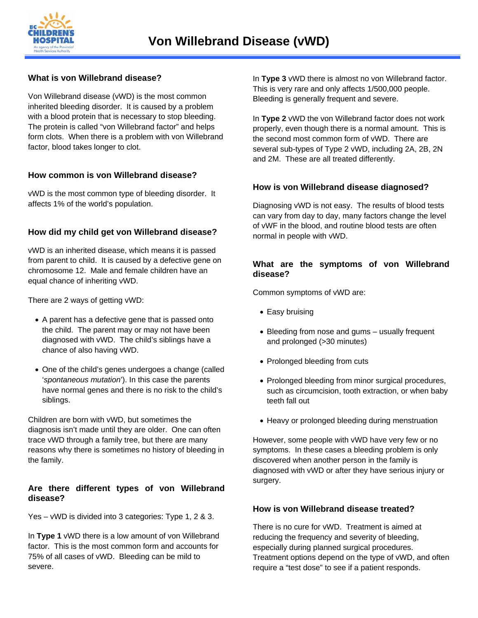

## **What is von Willebrand disease?**

Von Willebrand disease (vWD) is the most common inherited bleeding disorder. It is caused by a problem with a blood protein that is necessary to stop bleeding. The protein is called "von Willebrand factor" and helps form clots. When there is a problem with von Willebrand factor, blood takes longer to clot.

# **How common is von Willebrand disease?**

vWD is the most common type of bleeding disorder. It affects 1% of the world's population.

# **How did my child get von Willebrand disease?**

vWD is an inherited disease, which means it is passed from parent to child. It is caused by a defective gene on chromosome 12. Male and female children have an equal chance of inheriting vWD.

There are 2 ways of getting vWD:

- A parent has a defective gene that is passed onto the child. The parent may or may not have been diagnosed with vWD. The child's siblings have a chance of also having vWD.
- One of the child's genes undergoes a change (called '*spontaneous mutation*'). In this case the parents have normal genes and there is no risk to the child's siblings.

Children are born with vWD, but sometimes the diagnosis isn't made until they are older. One can often trace vWD through a family tree, but there are many reasons why there is sometimes no history of bleeding in the family.

### **Are there different types of von Willebrand disease?**

Yes – vWD is divided into 3 categories: Type 1, 2 & 3.

In **Type 1** vWD there is a low amount of von Willebrand factor. This is the most common form and accounts for 75% of all cases of vWD. Bleeding can be mild to severe.

In **Type 3** vWD there is almost no von Willebrand factor. This is very rare and only affects 1/500,000 people. Bleeding is generally frequent and severe.

In **Type 2** vWD the von Willebrand factor does not work properly, even though there is a normal amount. This is the second most common form of vWD. There are several sub-types of Type 2 vWD, including 2A, 2B, 2N and 2M. These are all treated differently.

### **How is von Willebrand disease diagnosed?**

Diagnosing vWD is not easy. The results of blood tests can vary from day to day, many factors change the level of vWF in the blood, and routine blood tests are often normal in people with vWD.

### **What are the symptoms of von Willebrand disease?**

Common symptoms of vWD are:

- Easy bruising
- Bleeding from nose and gums usually frequent and prolonged (>30 minutes)
- Prolonged bleeding from cuts
- Prolonged bleeding from minor surgical procedures, such as circumcision, tooth extraction, or when baby teeth fall out
- Heavy or prolonged bleeding during menstruation

However, some people with vWD have very few or no symptoms. In these cases a bleeding problem is only discovered when another person in the family is diagnosed with vWD or after they have serious injury or surgery.

### **How is von Willebrand disease treated?**

There is no cure for vWD. Treatment is aimed at reducing the frequency and severity of bleeding, especially during planned surgical procedures. Treatment options depend on the type of vWD, and often require a "test dose" to see if a patient responds.